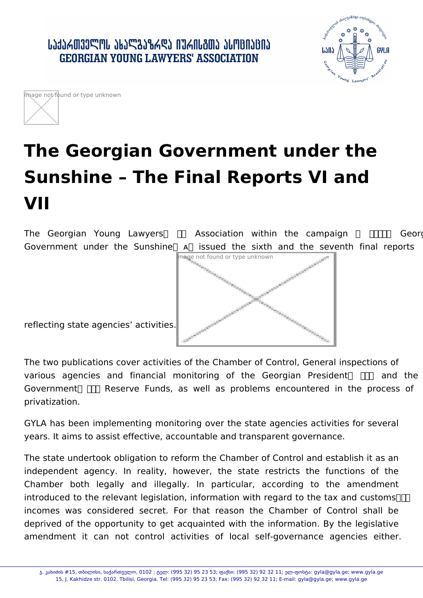



## **The Georgian Government under the Sunshine – The Final Reports VI and VII**

The Georgian Young Lawyers  $\Box$  Association within the campaign  $\Pi\Pi$  Georgian Government under the Sunshine A issued the sixth and the seventh final reports



reflecting state agencies' activities.

The two publications cover activities of the Chamber of Control, General inspections of various agencies and financial monitoring of the Georgian President  $\Box$  and the Government  $\Box$  Reserve Funds, as well as problems encountered in the process of privatization.

GYLA has been implementing monitoring over the state agencies activities for several years. It aims to assist effective, accountable and transparent governance.

The state undertook obligation to reform the Chamber of Control and establish it as an independent agency. In reality, however, the state restricts the functions of the Chamber both legally and illegally. In particular, according to the amendment introduced to the relevant legislation, information with regard to the tax and customs  $\Box$ incomes was considered secret. For that reason the Chamber of Control shall be deprived of the opportunity to get acquainted with the information. By the legislative amendment it can not control activities of local self-governance agencies either.